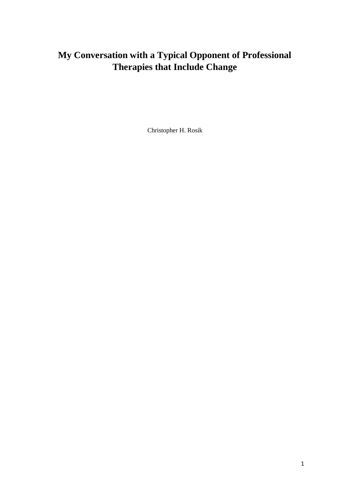Christopher H. Rosik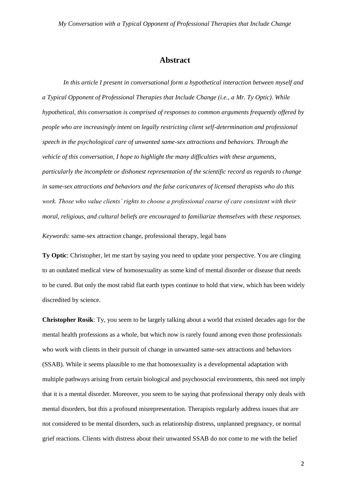#### **Abstract**

*In this article I present in conversational form a hypothetical interaction between myself and a Typical Opponent of Professional Therapies that Include Change (i.e., a Mr. Ty Optic). While hypothetical, this conversation is comprised of responses to common arguments frequently offered by people who are increasingly intent on legally restricting client self-determination and professional speech in the psychological care of unwanted same-sex attractions and behaviors. Through the vehicle of this conversation, I hope to highlight the many difficulties with these arguments, particularly the incomplete or dishonest representation of the scientific record as regards to change in same-sex attractions and behaviors and the false caricatures of licensed therapists who do this work. Those who value clients' rights to choose a professional course of care consistent with their moral, religious, and cultural beliefs are encouraged to familiarize themselves with these responses.*

*Keywords*: same-sex attraction change, professional therapy, legal bans

**Ty Optic**: Christopher, let me start by saying you need to update your perspective. You are clinging to an outdated medical view of homosexuality as some kind of mental disorder or disease that needs to be cured. But only the most rabid flat earth types continue to hold that view, which has been widely discredited by science.

**Christopher Rosik**: Ty, you seem to be largely talking about a world that existed decades ago for the mental health professions as a whole, but which now is rarely found among even those professionals who work with clients in their pursuit of change in unwanted same-sex attractions and behaviors (SSAB). While it seems plausible to me that homosexuality is a developmental adaptation with multiple pathways arising from certain biological and psychosocial environments, this need not imply that it is a mental disorder. Moreover, you seem to be saying that professional therapy only deals with mental disorders, but this a profound misrepresentation. Therapists regularly address issues that are not considered to be mental disorders, such as relationship distress, unplanned pregnancy, or normal grief reactions. Clients with distress about their unwanted SSAB do not come to me with the belief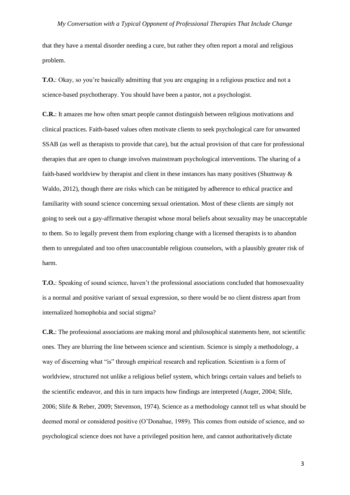that they have a mental disorder needing a cure, but rather they often report a moral and religious problem.

**T.O.**: Okay, so you're basically admitting that you are engaging in a religious practice and not a science-based psychotherapy. You should have been a pastor, not a psychologist.

**C.R.**: It amazes me how often smart people cannot distinguish between religious motivations and clinical practices. Faith-based values often motivate clients to seek psychological care for unwanted SSAB (as well as therapists to provide that care), but the actual provision of that care for professional therapies that are open to change involves mainstream psychological interventions. The sharing of a faith-based worldview by therapist and client in these instances has many positives (Shumway & Waldo, 2012), though there are risks which can be mitigated by adherence to ethical practice and familiarity with sound science concerning sexual orientation. Most of these clients are simply not going to seek out a gay-affirmative therapist whose moral beliefs about sexuality may be unacceptable to them. So to legally prevent them from exploring change with a licensed therapists is to abandon them to unregulated and too often unaccountable religious counselors, with a plausibly greater risk of harm.

**T.O.**: Speaking of sound science, haven't the professional associations concluded that homosexuality is a normal and positive variant of sexual expression, so there would be no client distress apart from internalized homophobia and social stigma?

**C.R.**: The professional associations are making moral and philosophical statements here, not scientific ones. They are blurring the line between science and scientism. Science is simply a methodology, a way of discerning what "is" through empirical research and replication. Scientism is a form of worldview, structured not unlike a religious belief system, which brings certain values and beliefs to the scientific endeavor, and this in turn impacts how findings are interpreted (Auger, 2004; Slife, 2006; Slife & Reber, 2009; Stevenson, 1974). Science as a methodology cannot tell us what should be deemed moral or considered positive (O'Donahue, 1989). This comes from outside of science, and so psychological science does not have a privileged position here, and cannot authoritatively dictate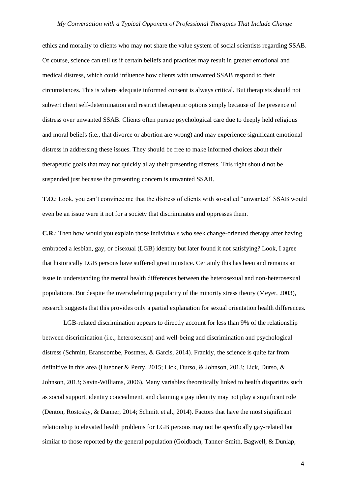ethics and morality to clients who may not share the value system of social scientists regarding SSAB. Of course, science can tell us if certain beliefs and practices may result in greater emotional and medical distress, which could influence how clients with unwanted SSAB respond to their circumstances. This is where adequate informed consent is always critical. But therapists should not subvert client self-determination and restrict therapeutic options simply because of the presence of distress over unwanted SSAB. Clients often pursue psychological care due to deeply held religious and moral beliefs (i.e., that divorce or abortion are wrong) and may experience significant emotional distress in addressing these issues. They should be free to make informed choices about their therapeutic goals that may not quickly allay their presenting distress. This right should not be suspended just because the presenting concern is unwanted SSAB.

**T.O.**: Look, you can't convince me that the distress of clients with so-called "unwanted" SSAB would even be an issue were it not for a society that discriminates and oppresses them.

**C.R.**: Then how would you explain those individuals who seek change-oriented therapy after having embraced a lesbian, gay, or bisexual (LGB) identity but later found it not satisfying? Look, I agree that historically LGB persons have suffered great injustice. Certainly this has been and remains an issue in understanding the mental health differences between the heterosexual and non-heterosexual populations. But despite the overwhelming popularity of the minority stress theory (Meyer, 2003), research suggests that this provides only a partial explanation for sexual orientation health differences.

LGB-related discrimination appears to directly account for less than 9% of the relationship between discrimination (i.e., heterosexism) and well-being and discrimination and psychological distress (Schmitt, Branscombe, Postmes, & Garcis, 2014). Frankly, the science is quite far from definitive in this area (Huebner & Perry, 2015; Lick, Durso, & Johnson, 2013; Lick, Durso, & Johnson, 2013; Savin-Williams, 2006). Many variables theoretically linked to health disparities such as social support, identity concealment, and claiming a gay identity may not play a significant role (Denton, Rostosky, & Danner, 2014; Schmitt et al., 2014). Factors that have the most significant relationship to elevated health problems for LGB persons may not be specifically gay-related but similar to those reported by the general population (Goldbach, Tanner-Smith, Bagwell, & Dunlap,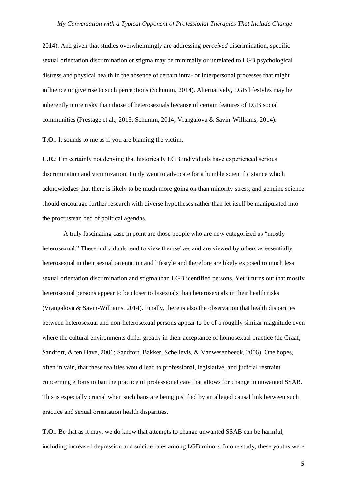2014). And given that studies overwhelmingly are addressing *perceived* discrimination, specific sexual orientation discrimination or stigma may be minimally or unrelated to LGB psychological distress and physical health in the absence of certain intra- or interpersonal processes that might influence or give rise to such perceptions (Schumm, 2014). Alternatively, LGB lifestyles may be inherently more risky than those of heterosexuals because of certain features of LGB social communities (Prestage et al., 2015; Schumm, 2014; Vrangalova & Savin-Williams, 2014).

**T.O.**: It sounds to me as if you are blaming the victim.

**C.R.**: I'm certainly not denying that historically LGB individuals have experienced serious discrimination and victimization. I only want to advocate for a humble scientific stance which acknowledges that there is likely to be much more going on than minority stress, and genuine science should encourage further research with diverse hypotheses rather than let itself be manipulated into the procrustean bed of political agendas.

A truly fascinating case in point are those people who are now categorized as "mostly heterosexual." These individuals tend to view themselves and are viewed by others as essentially heterosexual in their sexual orientation and lifestyle and therefore are likely exposed to much less sexual orientation discrimination and stigma than LGB identified persons. Yet it turns out that mostly heterosexual persons appear to be closer to bisexuals than heterosexuals in their health risks (Vrangalova & Savin-Williams, 2014). Finally, there is also the observation that health disparities between heterosexual and non-heterosexual persons appear to be of a roughly similar magnitude even where the cultural environments differ greatly in their acceptance of homosexual practice (de Graaf, Sandfort, & ten Have, 2006; Sandfort, Bakker, Schellevis, & Vanwesenbeeck, 2006). One hopes, often in vain, that these realities would lead to professional, legislative, and judicial restraint concerning efforts to ban the practice of professional care that allows for change in unwanted SSAB. This is especially crucial when such bans are being justified by an alleged causal link between such practice and sexual orientation health disparities.

**T.O.**: Be that as it may, we do know that attempts to change unwanted SSAB can be harmful, including increased depression and suicide rates among LGB minors. In one study, these youths were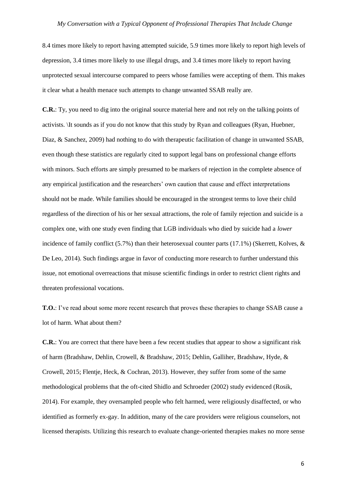8.4 times more likely to report having attempted suicide, 5.9 times more likely to report high levels of depression, 3.4 times more likely to use illegal drugs, and 3.4 times more likely to report having unprotected sexual intercourse compared to peers whose families were accepting of them. This makes it clear what a health menace such attempts to change unwanted SSAB really are.

**C.R.**: Ty, you need to dig into the original source material here and not rely on the talking points of activists. \It sounds as if you do not know that this study by Ryan and colleagues (Ryan, Huebner, Diaz, & Sanchez, 2009) had nothing to do with therapeutic facilitation of change in unwanted SSAB, even though these statistics are regularly cited to support legal bans on professional change efforts with minors. Such efforts are simply presumed to be markers of rejection in the complete absence of any empirical justification and the researchers' own caution that cause and effect interpretations should not be made. While families should be encouraged in the strongest terms to love their child regardless of the direction of his or her sexual attractions, the role of family rejection and suicide is a complex one, with one study even finding that LGB individuals who died by suicide had a *lower*  incidence of family conflict (5.7%) than their heterosexual counter parts (17.1%) (Skerrett, Kolves, & De Leo, 2014). Such findings argue in favor of conducting more research to further understand this issue, not emotional overreactions that misuse scientific findings in order to restrict client rights and threaten professional vocations.

**T.O.**: I've read about some more recent research that proves these therapies to change SSAB cause a lot of harm. What about them?

**C.R.**: You are correct that there have been a few recent studies that appear to show a significant risk of harm (Bradshaw, Dehlin, Crowell, & Bradshaw, 2015; Dehlin, Galliher, Bradshaw, Hyde, & Crowell, 2015; Flentje, Heck, & Cochran, 2013). However, they suffer from some of the same methodological problems that the oft-cited Shidlo and Schroeder (2002) study evidenced (Rosik, 2014). For example, they oversampled people who felt harmed, were religiously disaffected, or who identified as formerly ex-gay. In addition, many of the care providers were religious counselors, not licensed therapists. Utilizing this research to evaluate change-oriented therapies makes no more sense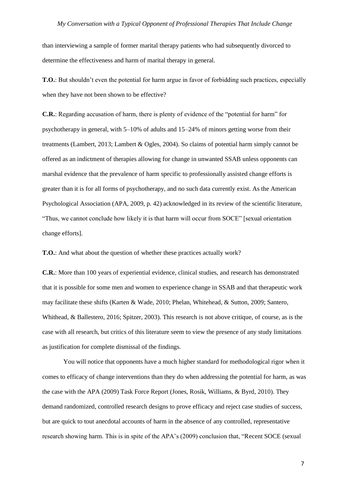than interviewing a sample of former marital therapy patients who had subsequently divorced to determine the effectiveness and harm of marital therapy in general.

**T.O.**: But shouldn't even the potential for harm argue in favor of forbidding such practices, especially when they have not been shown to be effective?

**C.R.**: Regarding accusation of harm, there is plenty of evidence of the "potential for harm" for psychotherapy in general, with 5–10% of adults and 15–24% of minors getting worse from their treatments (Lambert, 2013; Lambert & Ogles, 2004). So claims of potential harm simply cannot be offered as an indictment of therapies allowing for change in unwanted SSAB unless opponents can marshal evidence that the prevalence of harm specific to professionally assisted change efforts is greater than it is for all forms of psychotherapy, and no such data currently exist. As the American Psychological Association (APA, 2009, p. 42) acknowledged in its review of the scientific literature, "Thus, we cannot conclude how likely it is that harm will occur from SOCE" [sexual orientation change efforts].

**T.O.**: And what about the question of whether these practices actually work?

**C.R.**: More than 100 years of experiential evidence, clinical studies, and research has demonstrated that it is possible for some men and women to experience change in SSAB and that therapeutic work may facilitate these shifts (Karten & Wade, 2010; Phelan, Whitehead, & Sutton, 2009; Santero, Whithead, & Ballestero, 2016; Spitzer, 2003). This research is not above critique, of course, as is the case with all research, but critics of this literature seem to view the presence of any study limitations as justification for complete dismissal of the findings.

You will notice that opponents have a much higher standard for methodological rigor when it comes to efficacy of change interventions than they do when addressing the potential for harm, as was the case with the APA (2009) Task Force Report (Jones, Rosik, Williams, & Byrd, 2010). They demand randomized, controlled research designs to prove efficacy and reject case studies of success, but are quick to tout anecdotal accounts of harm in the absence of any controlled, representative research showing harm. This is in spite of the APA's (2009) conclusion that, "Recent SOCE (sexual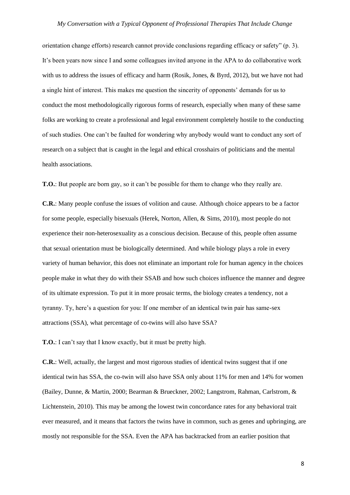orientation change efforts) research cannot provide conclusions regarding efficacy or safety" (p. 3). It's been years now since I and some colleagues invited anyone in the APA to do collaborative work with us to address the issues of efficacy and harm (Rosik, Jones, & Byrd, 2012), but we have not had a single hint of interest. This makes me question the sincerity of opponents' demands for us to conduct the most methodologically rigorous forms of research, especially when many of these same folks are working to create a professional and legal environment completely hostile to the conducting of such studies. One can't be faulted for wondering why anybody would want to conduct any sort of research on a subject that is caught in the legal and ethical crosshairs of politicians and the mental health associations.

**T.O.**: But people are born gay, so it can't be possible for them to change who they really are.

**C.R.**: Many people confuse the issues of volition and cause. Although choice appears to be a factor for some people, especially bisexuals (Herek, Norton, Allen, & Sims, 2010), most people do not experience their non-heterosexuality as a conscious decision. Because of this, people often assume that sexual orientation must be biologically determined. And while biology plays a role in every variety of human behavior, this does not eliminate an important role for human agency in the choices people make in what they do with their SSAB and how such choices influence the manner and degree of its ultimate expression. To put it in more prosaic terms, the biology creates a tendency, not a tyranny. Ty, here's a question for you: If one member of an identical twin pair has same-sex attractions (SSA), what percentage of co-twins will also have SSA?

**T.O.**: I can't say that I know exactly, but it must be pretty high.

**C.R.**: Well, actually, the largest and most rigorous studies of identical twins suggest that if one identical twin has SSA, the co-twin will also have SSA only about 11% for men and 14% for women (Bailey, Dunne, & Martin, 2000; Bearman & Brueckner, 2002; Langstrom, Rahman, Carlstrom, & Lichtenstein, 2010). This may be among the lowest twin concordance rates for any behavioral trait ever measured, and it means that factors the twins have in common, such as genes and upbringing, are mostly not responsible for the SSA. Even the APA has backtracked from an earlier position that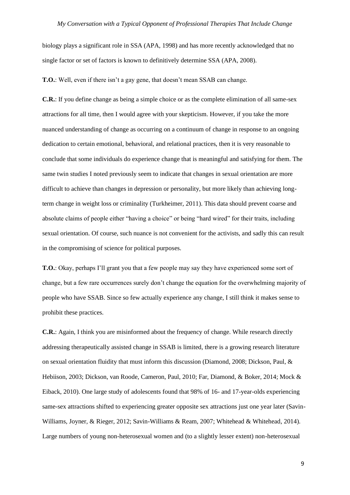biology plays a significant role in SSA (APA, 1998) and has more recently acknowledged that no single factor or set of factors is known to definitively determine SSA (APA, 2008).

**T.O.**: Well, even if there isn't a gay gene, that doesn't mean SSAB can change.

**C.R.**: If you define change as being a simple choice or as the complete elimination of all same-sex attractions for all time, then I would agree with your skepticism. However, if you take the more nuanced understanding of change as occurring on a continuum of change in response to an ongoing dedication to certain emotional, behavioral, and relational practices, then it is very reasonable to conclude that some individuals do experience change that is meaningful and satisfying for them. The same twin studies I noted previously seem to indicate that changes in sexual orientation are more difficult to achieve than changes in depression or personality, but more likely than achieving longterm change in weight loss or criminality (Turkheimer, 2011). This data should prevent coarse and absolute claims of people either "having a choice" or being "hard wired" for their traits, including sexual orientation. Of course, such nuance is not convenient for the activists, and sadly this can result in the compromising of science for political purposes.

**T.O.**: Okay, perhaps I'll grant you that a few people may say they have experienced some sort of change, but a few rare occurrences surely don't change the equation for the overwhelming majority of people who have SSAB. Since so few actually experience any change, I still think it makes sense to prohibit these practices.

**C.R.**: Again, I think you are misinformed about the frequency of change. While research directly addressing therapeutically assisted change in SSAB is limited, there is a growing research literature on sexual orientation fluidity that must inform this discussion (Diamond, 2008; Dickson, Paul, & Hebiison, 2003; Dickson, van Roode, Cameron, Paul, 2010; Far, Diamond, & Boker, 2014; Mock & Eiback, 2010). One large study of adolescents found that 98% of 16- and 17-year-olds experiencing same-sex attractions shifted to experiencing greater opposite sex attractions just one year later (Savin-Williams, Joyner, & Rieger, 2012; Savin-Williams & Ream, 2007; Whitehead & Whitehead, 2014). Large numbers of young non-heterosexual women and (to a slightly lesser extent) non-heterosexual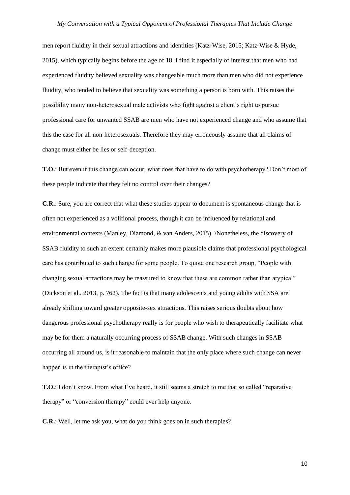men report fluidity in their sexual attractions and identities (Katz-Wise, 2015; Katz-Wise & Hyde, 2015), which typically begins before the age of 18. I find it especially of interest that men who had experienced fluidity believed sexuality was changeable much more than men who did not experience fluidity, who tended to believe that sexuality was something a person is born with. This raises the possibility many non-heterosexual male activists who fight against a client's right to pursue professional care for unwanted SSAB are men who have not experienced change and who assume that this the case for all non-heterosexuals. Therefore they may erroneously assume that all claims of change must either be lies or self-deception.

**T.O.**: But even if this change can occur, what does that have to do with psychotherapy? Don't most of these people indicate that they felt no control over their changes?

**C.R.**: Sure, you are correct that what these studies appear to document is spontaneous change that is often not experienced as a volitional process, though it can be influenced by relational and environmental contexts (Manley, Diamond, & van Anders, 2015). \Nonetheless, the discovery of SSAB fluidity to such an extent certainly makes more plausible claims that professional psychological care has contributed to such change for some people. To quote one research group, "People with changing sexual attractions may be reassured to know that these are common rather than atypical" (Dickson et al., 2013, p. 762). The fact is that many adolescents and young adults with SSA are already shifting toward greater opposite-sex attractions. This raises serious doubts about how dangerous professional psychotherapy really is for people who wish to therapeutically facilitate what may be for them a naturally occurring process of SSAB change. With such changes in SSAB occurring all around us, is it reasonable to maintain that the only place where such change can never happen is in the therapist's office?

**T.O.**: I don't know. From what I've heard, it still seems a stretch to me that so called "reparative therapy" or "conversion therapy" could ever help anyone.

**C.R.**: Well, let me ask you, what do you think goes on in such therapies?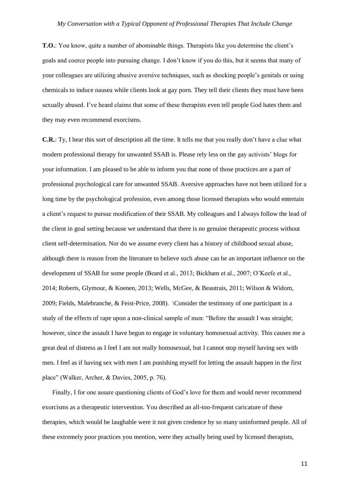**T.O.**: You know, quite a number of abominable things. Therapists like you determine the client's goals and coerce people into pursuing change. I don't know if you do this, but it seems that many of your colleagues are utilizing abusive aversive techniques, such as shocking people's genitals or using chemicals to induce nausea while clients look at gay porn. They tell their clients they must have been sexually abused. I've heard claims that some of these therapists even tell people God hates them and they may even recommend exorcisms.

**C.R.**: Ty, I hear this sort of description all the time. It tells me that you really don't have a clue what modern professional therapy for unwanted SSAB is. Please rely less on the gay activists' blogs for your information. I am pleased to be able to inform you that none of those practices are a part of professional psychological care for unwanted SSAB. Aversive approaches have not been utilized for a long time by the psychological profession, even among those licensed therapists who would entertain a client's request to pursue modification of their SSAB. My colleagues and I always follow the lead of the client in goal setting because we understand that there is no genuine therapeutic process without client self-determination. Nor do we assume every client has a history of childhood sexual abuse, although there is reason from the literature to believe such abuse can be an important influence on the development of SSAB for some people (Beard et al., 2013; Bickham et al., 2007; O'Keefe et al., 2014; Roberts, Glymour, & Koenen, 2013; Wells, McGee, & Beautrais, 2011; Wilson & Widom, 2009; Fields, Malebranche, & Feist-Price, 2008). \Consider the testimony of one participant in a study of the effects of rape upon a non-clinical sample of men: "Before the assault I was straight; however, since the assault I have begun to engage in voluntary homosexual activity. This causes me a great deal of distress as I feel I am not really homosexual, but I cannot stop myself having sex with men. I feel as if having sex with men I am punishing myself for letting the assault happen in the first place" (Walker, Archer, & Davies, 2005, p. 76).

Finally, I for one assure questioning clients of God's love for them and would never recommend exorcisms as a therapeutic intervention. You described an all-too-frequent caricature of these therapies, which would be laughable were it not given credence by so many uninformed people. All of these extremely poor practices you mention, were they actually being used by licensed therapists,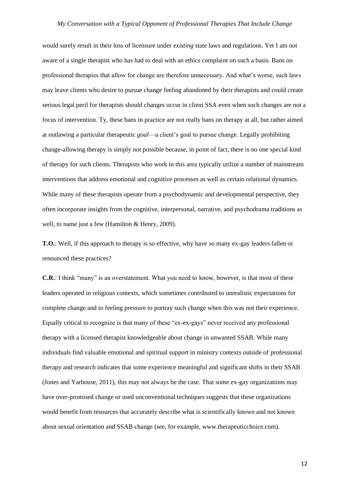would surely result in their loss of licensure under *existing* state laws and regulations. Yet I am not aware of a single therapist who has had to deal with an ethics complaint on such a basis. Bans on professional therapies that allow for change are therefore unnecessary. And what's worse, such laws may leave clients who desire to pursue change feeling abandoned by their therapists and could create serious legal peril for therapists should changes occur in client SSA even when such changes are not a focus of intervention. Ty, these bans in practice are not really bans on therapy at all, but rather aimed at outlawing a particular therapeutic *goal*—a client's goal to pursue change. Legally prohibiting change-allowing therapy is simply not possible because, in point of fact, there is no one special kind of therapy for such clients. Therapists who work in this area typically utilize a number of mainstream interventions that address emotional and cognitive processes as well as certain relational dynamics. While many of these therapists operate from a psychodynamic and developmental perspective, they often incorporate insights from the cognitive, interpersonal, narrative, and psychodrama traditions as well, to name just a few (Hamilton & Henry, 2009).

**T.O.**: Well, if this approach to therapy is so effective, why have so many ex-gay leaders fallen or renounced these practices?

**C.R.**: I think "many" is an overstatement. What you need to know, however, is that most of these leaders operated in religious contexts, which sometimes contributed to unrealistic expectations for complete change and to feeling pressure to portray such change when this was not their experience. Equally critical to recognize is that many of these "ex-ex-gays" never received any professional therapy with a licensed therapist knowledgeable about change in unwanted SSAB. While many individuals find valuable emotional and spiritual support in ministry contexts outside of professional therapy and research indicates that some experience meaningful and significant shifts in their SSAB (Jones and Yarhouse, 2011), this may not always be the case. That some ex-gay organizations may have over-promised change or used unconventional techniques suggests that these organizations would benefit from resources that accurately describe what is scientifically known and not known about sexual orientation and SSAB change (see, for example, www.therapeuticchoice.com).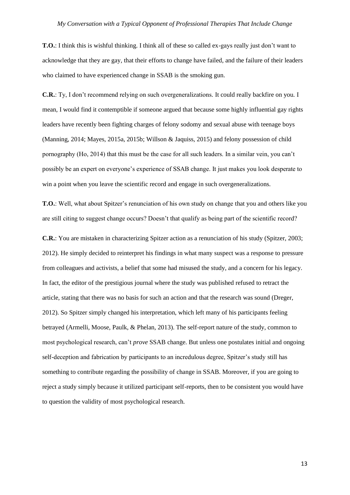**T.O.**: I think this is wishful thinking. I think all of these so called ex-gays really just don't want to acknowledge that they are gay, that their efforts to change have failed, and the failure of their leaders who claimed to have experienced change in SSAB is the smoking gun.

**C.R.**: Ty, I don't recommend relying on such overgeneralizations*.* It could really backfire on you. I mean, I would find it contemptible if someone argued that because some highly influential gay rights leaders have recently been fighting charges of felony sodomy and sexual abuse with teenage boys (Manning, 2014; Mayes, 2015a, 2015b; Willson & Jaquiss, 2015) and felony possession of child pornography (Ho, 2014) that this must be the case for all such leaders. In a similar vein, you can't possibly be an expert on everyone's experience of SSAB change. It just makes you look desperate to win a point when you leave the scientific record and engage in such overgeneralizations.

**T.O.**: Well, what about Spitzer's renunciation of his own study on change that you and others like you are still citing to suggest change occurs? Doesn't that qualify as being part of the scientific record?

**C.R.**: You are mistaken in characterizing Spitzer action as a renunciation of his study (Spitzer, 2003; 2012). He simply decided to reinterpret his findings in what many suspect was a response to pressure from colleagues and activists, a belief that some had misused the study, and a concern for his legacy. In fact, the editor of the prestigious journal where the study was published refused to retract the article, stating that there was no basis for such an action and that the research was sound (Dreger, 2012). So Spitzer simply changed his interpretation, which left many of his participants feeling betrayed (Armelli, Moose, Paulk, & Phelan, 2013). The self-report nature of the study, common to most psychological research, can't *prove* SSAB change. But unless one postulates initial and ongoing self-deception and fabrication by participants to an incredulous degree, Spitzer's study still has something to contribute regarding the possibility of change in SSAB. Moreover, if you are going to reject a study simply because it utilized participant self-reports, then to be consistent you would have to question the validity of most psychological research.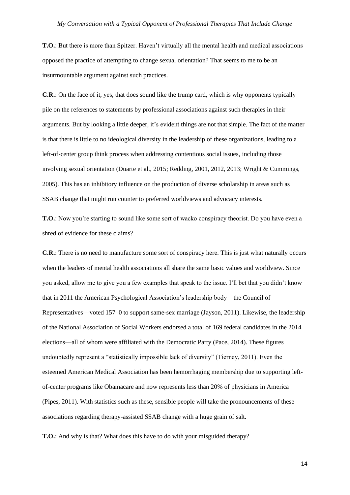**T.O.**: But there is more than Spitzer. Haven't virtually all the mental health and medical associations opposed the practice of attempting to change sexual orientation? That seems to me to be an insurmountable argument against such practices.

**C.R.**: On the face of it, yes, that does sound like the trump card, which is why opponents typically pile on the references to statements by professional associations against such therapies in their arguments. But by looking a little deeper, it's evident things are not that simple. The fact of the matter is that there is little to no ideological diversity in the leadership of these organizations, leading to a left-of-center group think process when addressing contentious social issues, including those involving sexual orientation (Duarte et al., 2015; Redding, 2001, 2012, 2013; Wright & Cummings, 2005). This has an inhibitory influence on the production of diverse scholarship in areas such as SSAB change that might run counter to preferred worldviews and advocacy interests.

**T.O.**: Now you're starting to sound like some sort of wacko conspiracy theorist. Do you have even a shred of evidence for these claims?

**C.R.**: There is no need to manufacture some sort of conspiracy here. This is just what naturally occurs when the leaders of mental health associations all share the same basic values and worldview. Since you asked, allow me to give you a few examples that speak to the issue. I'll bet that you didn't know that in 2011 the American Psychological Association's leadership body—the Council of Representatives—voted 157–0 to support same-sex marriage (Jayson, 2011). Likewise, the leadership of the National Association of Social Workers endorsed a total of 169 federal candidates in the 2014 elections—all of whom were affiliated with the Democratic Party (Pace, 2014). These figures undoubtedly represent a "statistically impossible lack of diversity" (Tierney, 2011). Even the esteemed American Medical Association has been hemorrhaging membership due to supporting leftof-center programs like Obamacare and now represents less than 20% of physicians in America (Pipes, 2011). With statistics such as these, sensible people will take the pronouncements of these associations regarding therapy-assisted SSAB change with a huge grain of salt.

**T.O.**: And why is that? What does this have to do with your misguided therapy?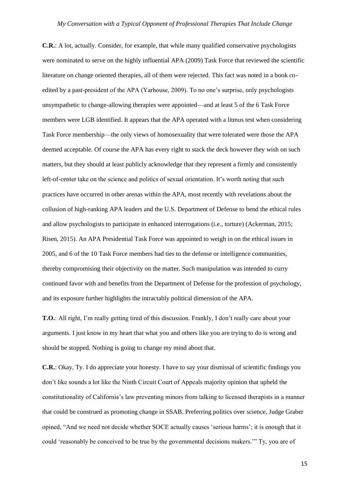**C.R.**: A lot, actually. Consider, for example, that while many qualified conservative psychologists were nominated to serve on the highly influential APA (2009) Task Force that reviewed the scientific literature on change oriented therapies, all of them were rejected. This fact was noted in a book coedited by a past-president of the APA (Yarhouse, 2009). To no one's surprise, only psychologists unsympathetic to change-allowing therapies were appointed—and at least 5 of the 6 Task Force members were LGB identified. It appears that the APA operated with a litmus test when considering Task Force membership—the only views of homosexuality that were tolerated were those the APA deemed acceptable. Of course the APA has every right to stack the deck however they wish on such matters, but they should at least publicly acknowledge that they represent a firmly and consistently left-of-center take on the science and politics of sexual orientation. It's worth noting that such practices have occurred in other arenas within the APA, most recently with revelations about the collusion of high-ranking APA leaders and the U.S. Department of Defense to bend the ethical rules and allow psychologists to participate in enhanced interrogations (i.e., torture) (Ackerman, 2015; Risen, 2015). An APA Presidential Task Force was appointed to weigh in on the ethical issues in 2005, and 6 of the 10 Task Force members had ties to the defense or intelligence communities, thereby compromising their objectivity on the matter. Such manipulation was intended to curry continued favor with and benefits from the Department of Defense for the profession of psychology, and its exposure further highlights the intractably political dimension of the APA.

**T.O.**: All right, I'm really getting tired of this discussion. Frankly, I don't really care about your arguments. I just know in my heart that what you and others like you are trying to do is wrong and should be stopped. Nothing is going to change my mind about that.

**C.R.**: Okay, Ty. I do appreciate your honesty. I have to say your dismissal of scientific findings you don't like sounds a lot like the Ninth Circuit Court of Appeals majority opinion that upheld the constitutionality of California's law preventing minors from talking to licensed therapists in a manner that could be construed as promoting change in SSAB. Preferring politics over science, Judge Graber opined, "And we need not decide whether SOCE actually causes 'serious harms'; it is enough that it could 'reasonably be conceived to be true by the governmental decisions makers.'" Ty, you are of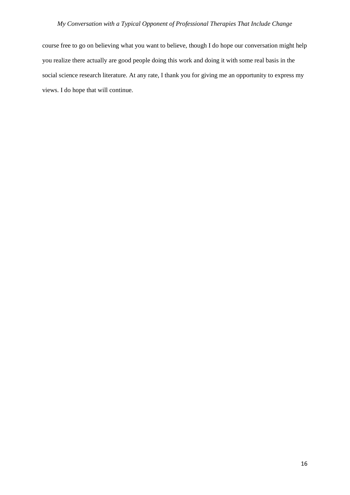course free to go on believing what you want to believe, though I do hope our conversation might help you realize there actually are good people doing this work and doing it with some real basis in the social science research literature. At any rate, I thank you for giving me an opportunity to express my views. I do hope that will continue.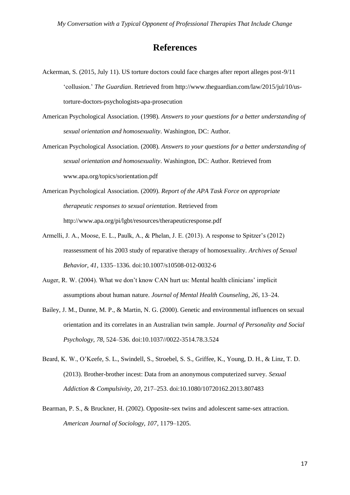## **References**

- Ackerman, S. (2015, July 11). US torture doctors could face charges after report alleges post-9/11 'collusion.' *The Guardian*. Retrieved from [http://www.theguardian.com/law/2015/jul/10/us](http://www.theguardian.com/law/2015/jul/10/us-)torture-doctors-psychologists-apa-prosecution
- American Psychological Association. (1998). *Answers to your questions for a better understanding of sexual orientation and homosexuality*. Washington, DC: Author.
- American Psychological Association. (2008). *Answers to your questions for a better understanding of sexual orientation and homosexuality*. Washington, DC: Author. Retrieved from [www.apa.org/topics/sorientation.pdf](http://www.apa.org/topics/sorientation.pdf)
- American Psychological Association. (2009). *Report of the APA Task Force on appropriate therapeutic responses to sexual orientation*. Retrieved from <http://www.apa.org/pi/lgbt/resources/therapeuticresponse.pdf>
- Armelli, J. A., Moose, E. L., Paulk, A., & Phelan, J. E. (2013). A response to Spitzer's (2012) reassessment of his 2003 study of reparative therapy of homosexuality. *Archives of Sexual Behavior, 41,* 1335–1336*.* doi:10.1007/s10508-012-0032-6
- Auger, R. W. (2004). What we don't know CAN hurt us: Mental health clinicians' implicit assumptions about human nature. *Journal of Mental Health Counseling, 26*, 13–24.
- Bailey, J. M., Dunne, M. P., & Martin, N. G. (2000). Genetic and environmental influences on sexual orientation and its correlates in an Australian twin sample. *Journal of Personality and Social Psychology, 78,* 524–536. doi:10.1037//0022-3514.78.3.524
- Beard, K. W., O'Keefe, S. L., Swindell, S., Stroebel, S. S., Griffee, K., Young, D. H., & Linz, T. D. (2013). Brother-brother incest: Data from an anonymous computerized survey. *Sexual Addiction & Compulsivity, 20*, 217–253. doi:10.1080/10720162.2013.807483
- Bearman, P. S., & Bruckner, H. (2002). Opposite-sex twins and adolescent same-sex attraction. *American Journal of Sociology, 107*, 1179–1205.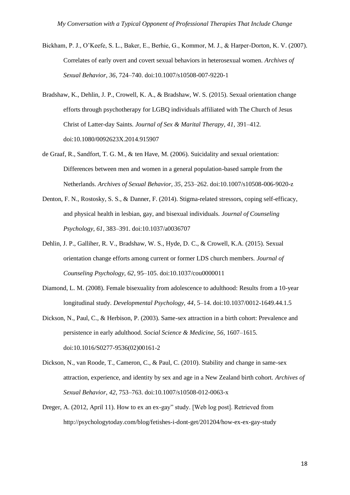- Bickham, P. J., O'Keefe, S. L., Baker, E., Berhie, G., Kommor, M. J., & Harper-Dorton, K. V. (2007). Correlates of early overt and covert sexual behaviors in heterosexual women. *Archives of Sexual Behavior, 36*, 724–740. doi:10.1007/s10508-007-9220-1
- Bradshaw, K., Dehlin, J. P., Crowell, K. A., & Bradshaw, W. S. (2015). Sexual orientation change efforts through psychotherapy for LGBQ individuals affiliated with The Church of Jesus Christ of Latter-day Saints. *Journal of Sex & Marital Therapy, 41*, 391–412*.*  doi:10.1080/0092623X.2014.915907
- de Graaf, R., Sandfort, T. G. M., & ten Have, M. (2006). Suicidality and sexual orientation: Differences between men and women in a general population-based sample from the Netherlands. *Archives of Sexual Behavior, 35*, 253–262. doi:10.1007/s10508-006-9020-z
- Denton, F. N., Rostosky, S. S., & Danner, F. (2014). Stigma-related stressors, coping self-efficacy, and physical health in lesbian, gay, and bisexual individuals. *Journal of Counseling Psychology, 61*, 383–391. doi:10.1037/a0036707
- Dehlin, J. P., Galliher, R. V., Bradshaw, W. S., Hyde, D. C., & Crowell, K.A. (2015). Sexual orientation change efforts among current or former LDS church members. *Journal of Counseling Psychology, 62*, 95–105. doi:10.1037/cou0000011
- Diamond, L. M. (2008). Female bisexuality from adolescence to adulthood: Results from a 10-year longitudinal study. *Developmental Psychology, 44*, 5–14. doi:10.1037/0012-1649.44.1.5
- Dickson, N., Paul, C., & Herbison, P. (2003). Same-sex attraction in a birth cohort: Prevalence and persistence in early adulthood. *Social Science & Medicine, 56*, 1607–1615. doi:10.1016/S0277-9536(02)00161-2
- Dickson, N., van Roode, T., Cameron, C., & Paul, C. (2010). Stability and change in same-sex attraction, experience, and identity by sex and age in a New Zealand birth cohort. *Archives of Sexual Behavior, 42*, 753–763. doi:10.1007/s10508-012-0063-x
- Dreger, A. (2012, April 11). How to ex an ex-gay" study. [Web log post]. Retrieved from <http://psychologytoday.com/blog/fetishes-i-dont-get/201204/how-ex-ex-gay-study>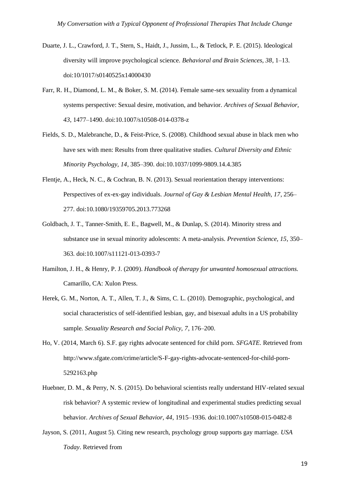- Duarte, J. L., Crawford, J. T., Stern, S., Haidt, J., Jussim, L., & Tetlock, P. E. (2015). Ideological diversity will improve psychological science. *Behavioral and Brain Sciences, 38*, 1–13. doi:10/1017/s0140525x14000430
- Farr, R. H., Diamond, L. M., & Boker, S. M. (2014). Female same-sex sexuality from a dynamical systems perspective: Sexual desire, motivation, and behavior. *Archives of Sexual Behavior, 43*, 1477–1490. doi:10.1007/s10508-014-0378-z
- Fields, S. D., Malebranche, D., & Feist-Price, S. (2008). Childhood sexual abuse in black men who have sex with men: Results from three qualitative studies. *Cultural Diversity and Ethnic Minority Psychology, 14*, 385–390. doi:10.1037/1099-9809.14.4.385
- Flentje, A., Heck, N. C., & Cochran, B. N. (2013). Sexual reorientation therapy interventions: Perspectives of ex-ex-gay individuals. *Journal of Gay & Lesbian Mental Health, 17*, 256– 277. doi:10.1080/19359705.2013.773268
- Goldbach, J. T., Tanner-Smith, E. E., Bagwell, M., & Dunlap, S. (2014). Minority stress and substance use in sexual minority adolescents: A meta-analysis. *Prevention Science, 15*, 350– 363. doi:10.1007/s11121-013-0393-7
- Hamilton, J. H., & Henry, P. J. (2009). *Handbook of therapy for unwanted homosexual attractions.* Camarillo, CA: Xulon Press.
- Herek, G. M., Norton, A. T., Allen, T. J., & Sims, C. L. (2010). Demographic, psychological, and social characteristics of self-identified lesbian, gay, and bisexual adults in a US probability sample*. Sexuality Research and Social Policy, 7*, 176–200.
- Ho, V. (2014, March 6). S.F. gay rights advocate sentenced for child porn. *SFGATE.* Retrieved from <http://www.sfgate.com/crime/article/S-F-gay-rights-advocate-sentenced-for-child-porn->5292163.php
- Huebner, D. M., & Perry, N. S. (2015). Do behavioral scientists really understand HIV-related sexual risk behavior? A systemic review of longitudinal and experimental studies predicting sexual behavior. *Archives of Sexual Behavior, 44*, 1915–1936. doi:10.1007/s10508-015-0482-8
- Jayson, S. (2011, August 5). Citing new research, psychology group supports gay marriage. *USA Today*. Retrieved from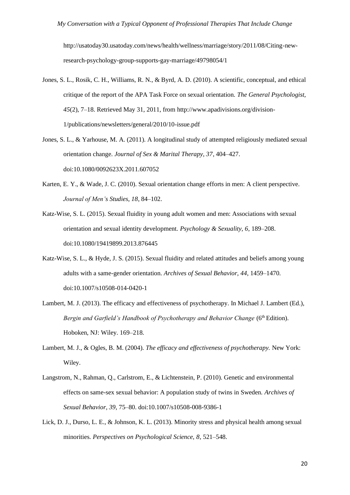[http://usatoday30.usatoday.com/news/health/wellness/marriage/story/2011/08/Citing-new](http://usatoday30.usatoday.com/news/health/wellness/marriage/story/2011/08/Citing-new-)research-psychology-group-supports-gay-marriage/49798054/1

- Jones, S. L., Rosik, C. H., Williams, R. N., & Byrd, A. D. (2010). A scientific, conceptual, and ethical critique of the report of the APA Task Force on sexual orientation. *The General Psychologist, 45*(2), 7–18. Retrieved May 31, 2011, from<http://www.apadivisions.org/division->1/publications/newsletters/general/2010/10-issue.pdf
- Jones, S. L., & Yarhouse, M. A. (2011). A longitudinal study of attempted religiously mediated sexual orientation change. *Journal of Sex & Marital Therapy, 37*, 404–427. doi:10.1080/0092623X.2011.607052
- Karten, E. Y., & Wade, J. C. (2010). Sexual orientation change efforts in men: A client perspective. *Journal of Men's Studies, 18*, 84–102.
- Katz-Wise, S. L. (2015). Sexual fluidity in young adult women and men: Associations with sexual orientation and sexual identity development. *Psychology & Sexuality, 6*, 189–208. doi:10.1080/19419899.2013.876445
- Katz-Wise, S. L., & Hyde, J. S. (2015). Sexual fluidity and related attitudes and beliefs among young adults with a same-gender orientation. *Archives of Sexual Behavior, 44*, 1459–1470. doi:10.1007/s10508-014-0420-1
- Lambert, M. J. (2013). The efficacy and effectiveness of psychotherapy. In Michael J. Lambert (Ed.), *Bergin and Garfield's Handbook of Psychotherapy and Behavior Change* (6<sup>th</sup> Edition). Hoboken, NJ: Wiley. 169–218.
- Lambert, M. J., & Ogles, B. M. (2004). *The efficacy and effectiveness of psychotherapy.* New York: Wiley.
- Langstrom, N., Rahman, Q., Carlstrom, E., & Lichtenstein, P. (2010). Genetic and environmental effects on same-sex sexual behavior: A population study of twins in Sweden. *Archives of Sexual Behavior, 39,* 75–80. doi:10.1007/s10508-008-9386-1
- Lick, D. J., Durso, L. E., & Johnson, K. L. (2013). Minority stress and physical health among sexual minorities. *Perspectives on Psychological Science, 8*, 521–548.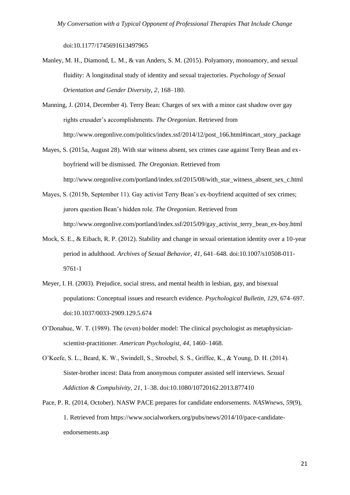doi:10.1177/1745691613497965

- Manley, M. H., Diamond, L. M., & van Anders, S. M. (2015). Polyamory, monoamory, and sexual fluidity: A longitudinal study of identity and sexual trajectories. *Psychology of Sexual Orientation and Gender Diversity, 2*, 168–180.
- Manning, J. (2014, December 4). Terry Bean: Charges of sex with a minor cast shadow over gay rights crusader's accomplishments. *The Oregonian*. Retrieved from [http://www.oregonlive.com/politics/index.ssf/2014/12/post\\_166.html#incart\\_story\\_package](http://www.oregonlive.com/politics/index.ssf/2014/12/post_166.html#incart_story_package)
- Mayes, S. (2015a, August 28). With star witness absent, sex crimes case against Terry Bean and exboyfriend will be dismissed. *The Oregonian*. Retrieved from [http://www.oregonlive.com/portland/index.ssf/2015/08/with\\_star\\_witness\\_absent\\_sex\\_c.html](http://www.oregonlive.com/portland/index.ssf/2015/08/with_star_witness_absent_sex_c.html)
- Mayes, S. (2015b, September 11). Gay activist Terry Bean's ex-boyfriend acquitted of sex crimes; jurors question Bean's hidden role. *The Oregonian*. Retrieved from [http://www.oregonlive.com/portland/index.ssf/2015/09/gay\\_activist\\_terry\\_bean\\_ex-boy.html](http://www.oregonlive.com/portland/index.ssf/2015/09/gay_activist_terry_bean_ex-boy.html)
- Mock, S. E., & Eibach, R. P. (2012). Stability and change in sexual orientation identity over a 10-year period in adulthood. *Archives of Sexual Behavior, 41*, 641–648. doi:10.1007/s10508-011- 9761-1
- Meyer, I. H. (2003). Prejudice, social stress, and mental health in lesbian, gay, and bisexual populations: Conceptual issues and research evidence. *Psychological Bulletin, 129*, 674–697. doi:10.1037/0033-2909.129.5.674
- O'Donahue, W. T. (1989). The (even) bolder model: The clinical psychologist as metaphysicianscientist-practitioner. *American Psychologist, 44*, 1460–1468.
- O'Keefe, S. L., Beard, K. W., Swindell, S., Stroebel, S. S., Griffee, K., & Young, D. H. (2014). Sister-brother incest: Data from anonymous computer assisted self interviews. *Sexual Addiction & Compulsivity, 21*, 1–38. doi:10.1080/10720162.2013.877410
- Pace, P. R. (2014, October). NASW PACE prepares for candidate endorsements. *NASWnews, 59*(9), 1. Retrieved from https:/[/www.socialworkers.org/pubs/news/2014/10/pace-candidate](http://www.socialworkers.org/pubs/news/2014/10/pace-candidate-)endorsements.asp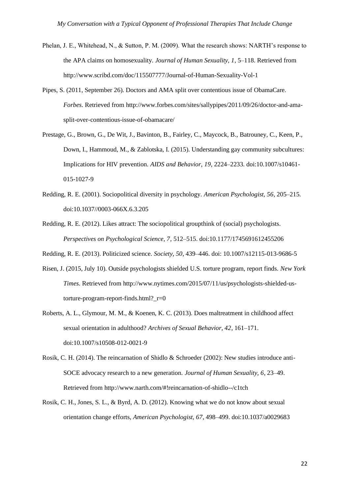- Phelan, J. E., Whitehead, N., & Sutton, P. M. (2009). What the research shows: NARTH's response to the APA claims on homosexuality. *Journal of Human Sexuality, 1*, 5–118. Retrieved from <http://www.scribd.com/doc/115507777/Journal-of-Human-Sexuality-Vol-1>
- Pipes, S. (2011, September 26). Doctors and AMA split over contentious issue of ObamaCare. *Forbes*. Retrieved from [http://www.forbes.com/sites/sallypipes/2011/09/26/doctor-and-ama](http://www.forbes.com/sites/sallypipes/2011/09/26/doctor-and-ama-)split-over-contentious-issue-of-obamacare/
- Prestage, G., Brown, G., De Wit, J., Bavinton, B., Fairley, C., Maycock, B., Batrouney, C., Keen, P., Down, I., Hammoud, M., & Zablotska, I. (2015). Understanding gay community subcultures: Implications for HIV prevention. *AIDS and Behavior, 19*, 2224–2233. doi:10.1007/s10461- 015-1027-9
- Redding, R. E. (2001). Sociopolitical diversity in psychology. *American Psychologist, 56*, 205–215. doi:10.1037//0003-066X.6.3.205
- Redding, R. E. (2012). Likes attract: The sociopolitical groupthink of (social) psychologists. *Perspectives on Psychological Science, 7*, 512–515. doi:10.1177/1745691612455206
- Redding, R. E. (2013). Politicized science. *Society, 50*, 439–446. doi: 10.1007/s12115-013-9686-5
- Risen, J. (2015, July 10). Outside psychologists shielded U.S. torture program, report finds. *New York Times*. Retrieved from [http://www.nytimes.com/2015/07/11/us/psychologists-shielded-us](http://www.nytimes.com/2015/07/11/us/psychologists-shielded-us-)torture-program-report-finds.html? $r=0$
- Roberts, A. L., Glymour, M. M., & Koenen, K. C. (2013). Does maltreatment in childhood affect sexual orientation in adulthood? *Archives of Sexual Behavior, 42*, 161–171. doi:10.1007/s10508-012-0021-9
- Rosik, C. H. (2014). The reincarnation of Shidlo & Schroeder (2002): New studies introduce anti-SOCE advocacy research to a new generation. *Journal of Human Sexuality, 6*, 23–49. Retrieved from [http://www.narth.com/#!reincarnation-of-shidlo--/c1tch](http://www.narth.com/%23!reincarnation-of-shidlo--/c1tch)
- Rosik, C. H., Jones, S. L., & Byrd, A. D. (2012). Knowing what we do not know about sexual orientation change efforts, *American Psychologist, 67*, 498–499. doi:10.1037/a0029683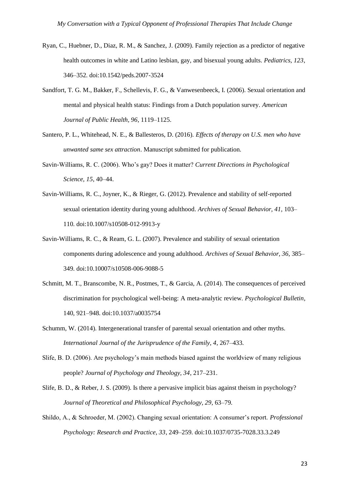- Ryan, C., Huebner, D., Diaz, R. M., & Sanchez, J. (2009). Family rejection as a predictor of negative health outcomes in white and Latino lesbian, gay, and bisexual young adults. *Pediatrics, 123*, 346–352. doi:10.1542/peds.2007-3524
- Sandfort, T. G. M., Bakker, F., Schellevis, F. G., & Vanwesenbeeck, I. (2006). Sexual orientation and mental and physical health status: Findings from a Dutch population survey. *American Journal of Public Health, 96*, 1119–1125.
- Santero, P. L., Whitehead, N. E., & Ballesteros, D. (2016). *Effects of therapy on U.S. men who have unwanted same sex attraction*. Manuscript submitted for publication.
- Savin-Williams, R. C. (2006). Who's gay? Does it matter? *Current Directions in Psychological Science, 15*, 40–44.
- Savin-Williams, R. C., Joyner, K., & Rieger, G. (2012). Prevalence and stability of self-reported sexual orientation identity during young adulthood. *Archives of Sexual Behavior, 41*, 103– 110. doi:10.1007/s10508-012-9913-y
- Savin-Williams, R. C., & Ream, G. L. (2007). Prevalence and stability of sexual orientation components during adolescence and young adulthood. *Archives of Sexual Behavior, 36*, 385– 349. doi:10.10007/s10508-006-9088-5
- Schmitt, M. T., Branscombe, N. R., Postmes, T., & Garcia, A. (2014). The consequences of perceived discrimination for psychological well-being: A meta-analytic review. *Psychological Bulletin*, 140, 921–948. doi:10.1037/a0035754
- Schumm, W. (2014). Intergenerational transfer of parental sexual orientation and other myths. *International Journal of the Jurisprudence of the Family, 4*, 267–433.
- Slife, B. D. (2006). Are psychology's main methods biased against the worldview of many religious people? *Journal of Psychology and Theology, 34*, 217–231.
- Slife, B. D., & Reber, J. S. (2009). Is there a pervasive implicit bias against theism in psychology? *Journal of Theoretical and Philosophical Psychology, 29*, 63–79.
- Shildo, A., & Schroeder, M. (2002). Changing sexual orientation: A consumer's report. *Professional Psychology: Research and Practice, 33*, 249–259. doi:10.1037/0735-7028.33.3.249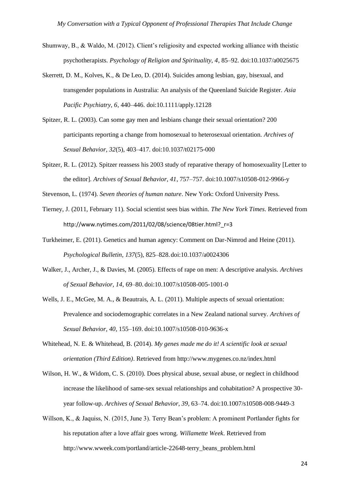- Shumway, B., & Waldo, M. (2012). Client's religiosity and expected working alliance with theistic psychotherapists. *Psychology of Religion and Spirituality, 4*, 85–92. doi:10.1037/a0025675
- Skerrett, D. M., Kolves, K., & De Leo, D. (2014). Suicides among lesbian, gay, bisexual, and transgender populations in Australia: An analysis of the Queenland Suicide Register. *Asia Pacific Psychiatry, 6*, 440–446. doi:10.1111/apply.12128
- Spitzer, R. L. (2003). Can some gay men and lesbians change their sexual orientation? 200 participants reporting a change from homosexual to heterosexual orientation. *Archives of Sexual Behavior, 32*(5), 403–417. doi:10.1037/t02175-000
- Spitzer, R. L. (2012). Spitzer reassess his 2003 study of reparative therapy of homosexuality [Letter to the editor]. *Archives of Sexual Behavior, 41*, 757–757. doi:10.1007/s10508-012-9966-y
- Stevenson, L. (1974). *Seven theories of human nature*. New York: Oxford University Press.
- Tierney, J. (2011, February 11). Social scientist sees bias within. *The New York Times*. Retrieved from http://www.nytimes.com/2011/02/08/science/08tier.html? r=3
- Turkheimer, E. (2011). Genetics and human agency: Comment on Dar-Nimrod and Heine (2011). *Psychological Bulletin, 137*(5), 825–828.doi:10.1037/a0024306
- Walker, J., Archer, J., & Davies, M. (2005). Effects of rape on men: A descriptive analysis. *Archives of Sexual Behavior, 14*, 69–80. doi:10.1007/s10508-005-1001-0
- Wells, J. E., McGee, M. A., & Beautrais, A. L. (2011). Multiple aspects of sexual orientation: Prevalence and sociodemographic correlates in a New Zealand national survey. *Archives of Sexual Behavior, 40*, 155–169. doi:10.1007/s10508-010-9636-x
- Whitehead, N. E. & Whitehead, B. (2014). *My genes made me do it! A scientific look at sexual orientation (Third Edition)*. Retrieved fro[m http://www.mygenes.co.nz/index.html](http://www.mygenes.co.nz/index.html)
- Wilson, H. W., & Widom, C. S. (2010). Does physical abuse, sexual abuse, or neglect in childhood increase the likelihood of same-sex sexual relationships and cohabitation? A prospective 30 year follow-up. *Archives of Sexual Behavior, 39,* 63–74. doi:10.1007/s10508-008-9449-3
- Willson, K., & Jaquiss, N. (2015, June 3). Terry Bean's problem: A prominent Portlander fights for his reputation after a love affair goes wrong. *Willamette Week*. Retrieved from [http://www.wweek.com/portland/article-22648-terry\\_beans\\_problem.html](http://www.wweek.com/portland/article-22648-terry_beans_problem.html)